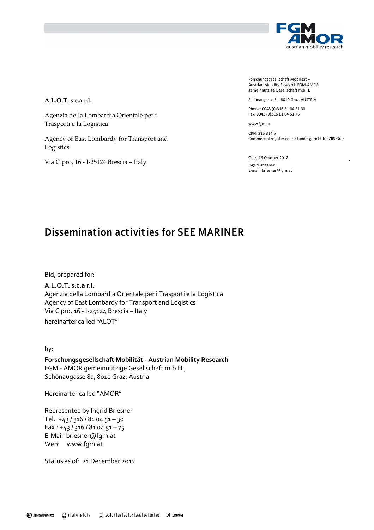

Forschungsgesellschaft Mobilität – Austrian Mobility Research FGM-AMOR gemeinnützige Gesellschaft m.b.H.

Schönaugasse 8a, 8010 Graz, AUSTRIA

Phone: 0043 (0)316 81 04 51 30 Fax: 0043 (0)316 81 04 51 75

www.fgm.at

CRN: 215 314 p Commercial register court: Landesgericht für ZRS Graz

Graz, 16 October 2012 Ingrid Briesner E-mail: briesner@fgm.at

#### A.L.O.T. s.c.a r.l.

Agenzia della Lombardia Orientale per i Trasporti e la Logistica

Agency of East Lombardy for Transport and Logistics

Via Cipro, 16 - I-25124 Brescia – Italy

## Disseminat ion act ivit ies for SEE MARINER

Bid, prepared for:

A.L.O.T. s.c.a r.l. Agenzia della Lombardia Orientale per i Trasporti e la Logistica Agency of East Lombardy for Transport and Logistics Via Cipro, 16 - I-25124 Brescia – Italy hereinafter called "ALOT"

by:

Forschungsgesellschaft Mobilität - Austrian Mobility Research FGM - AMOR gemeinnützige Gesellschaft m.b.H., Schönaugasse 8a, 8010 Graz, Austria

Hereinafter called "AMOR"

Represented by Ingrid Briesner Tel.: +43 / 316 / 81 04 51 – 30  $Fax.: +43/316/810451-75$ E-Mail: briesner@fgm.at Web: www.fgm.at

Status as of: 21 December 2012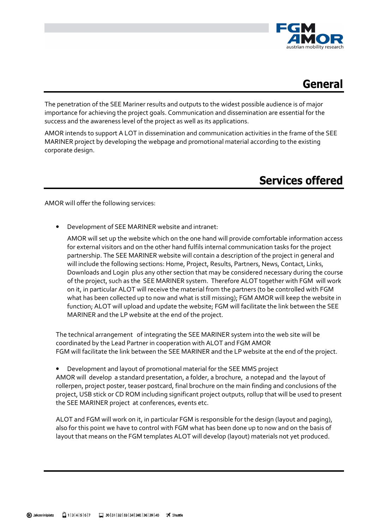



The penetration of the SEE Mariner results and outputs to the widest possible audience is of major importance for achieving the project goals. Communication and dissemination are essential for the success and the awareness level of the project as well as its applications.

AMOR intends to support A LOT in dissemination and communication activities in the frame of the SEE MARINER project by developing the webpage and promotional material according to the existing corporate design.

# Services offered

AMOR will offer the following services:

• Development of SEE MARINER website and intranet:

AMOR will set up the website which on the one hand will provide comfortable information access for external visitors and on the other hand fulfils internal communication tasks for the project partnership. The SEE MARINER website will contain a description of the project in general and will include the following sections: Home, Project, Results, Partners, News, Contact, Links, Downloads and Login plus any other section that may be considered necessary during the course of the project, such as the SEE MARINER system. Therefore ALOT together with FGM will work on it, in particular ALOT will receive the material from the partners (to be controlled with FGM what has been collected up to now and what is still missing); FGM AMOR will keep the website in function; ALOT will upload and update the website; FGM will facilitate the link between the SEE MARINER and the LP website at the end of the project.

The technical arrangement of integrating the SEE MARINER system into the web site will be coordinated by the Lead Partner in cooperation with ALOT and FGM AMOR FGM will facilitate the link between the SEE MARINER and the LP website at the end of the project.

• Development and layout of promotional material for the SEE MMS project AMOR will develop a standard presentation, a folder, a brochure, a notepad and the layout of rollerpen, project poster, teaser postcard, final brochure on the main finding and conclusions of the project, USB stick or CD ROM including significant project outputs, rollup that will be used to present the SEE MARINER project at conferences, events etc.

ALOT and FGM will work on it, in particular FGM is responsible for the design (layout and paging), also for this point we have to control with FGM what has been done up to now and on the basis of layout that means on the FGM templates ALOT will develop (layout) materials not yet produced.